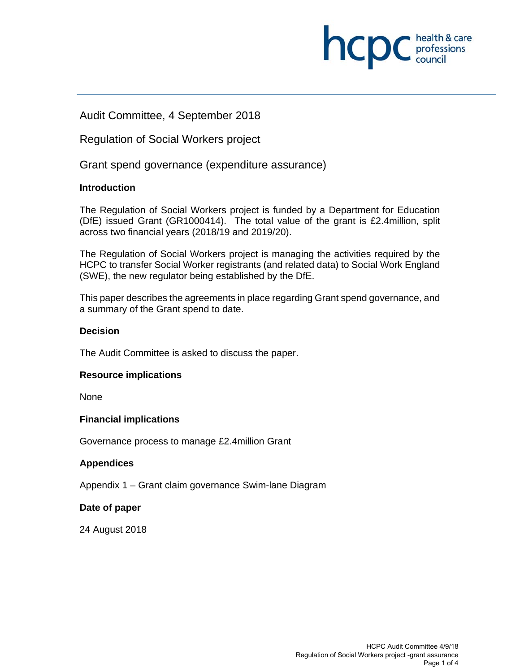

Audit Committee, 4 September 2018

Regulation of Social Workers project

Grant spend governance (expenditure assurance)

# **Introduction**

The Regulation of Social Workers project is funded by a Department for Education (DfE) issued Grant (GR1000414). The total value of the grant is £2.4million, split across two financial years (2018/19 and 2019/20).

The Regulation of Social Workers project is managing the activities required by the HCPC to transfer Social Worker registrants (and related data) to Social Work England (SWE), the new regulator being established by the DfE.

This paper describes the agreements in place regarding Grant spend governance, and a summary of the Grant spend to date.

## **Decision**

The Audit Committee is asked to discuss the paper.

## **Resource implications**

None

## **Financial implications**

Governance process to manage £2.4million Grant

## **Appendices**

Appendix 1 – Grant claim governance Swim-lane Diagram

## **Date of paper**

24 August 2018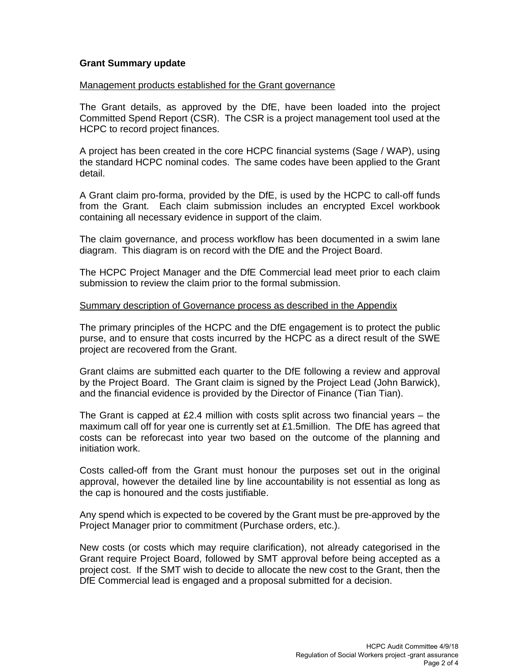### **Grant Summary update**

#### Management products established for the Grant governance

The Grant details, as approved by the DfE, have been loaded into the project Committed Spend Report (CSR). The CSR is a project management tool used at the HCPC to record project finances.

A project has been created in the core HCPC financial systems (Sage / WAP), using the standard HCPC nominal codes. The same codes have been applied to the Grant detail.

A Grant claim pro-forma, provided by the DfE, is used by the HCPC to call-off funds from the Grant. Each claim submission includes an encrypted Excel workbook containing all necessary evidence in support of the claim.

The claim governance, and process workflow has been documented in a swim lane diagram. This diagram is on record with the DfE and the Project Board.

The HCPC Project Manager and the DfE Commercial lead meet prior to each claim submission to review the claim prior to the formal submission.

#### Summary description of Governance process as described in the Appendix

The primary principles of the HCPC and the DfE engagement is to protect the public purse, and to ensure that costs incurred by the HCPC as a direct result of the SWE project are recovered from the Grant.

Grant claims are submitted each quarter to the DfE following a review and approval by the Project Board. The Grant claim is signed by the Project Lead (John Barwick), and the financial evidence is provided by the Director of Finance (Tian Tian).

The Grant is capped at  $£2.4$  million with costs split across two financial years  $-$  the maximum call off for year one is currently set at £1.5million. The DfE has agreed that costs can be reforecast into year two based on the outcome of the planning and initiation work.

Costs called-off from the Grant must honour the purposes set out in the original approval, however the detailed line by line accountability is not essential as long as the cap is honoured and the costs justifiable.

Any spend which is expected to be covered by the Grant must be pre-approved by the Project Manager prior to commitment (Purchase orders, etc.).

New costs (or costs which may require clarification), not already categorised in the Grant require Project Board, followed by SMT approval before being accepted as a project cost. If the SMT wish to decide to allocate the new cost to the Grant, then the DfE Commercial lead is engaged and a proposal submitted for a decision.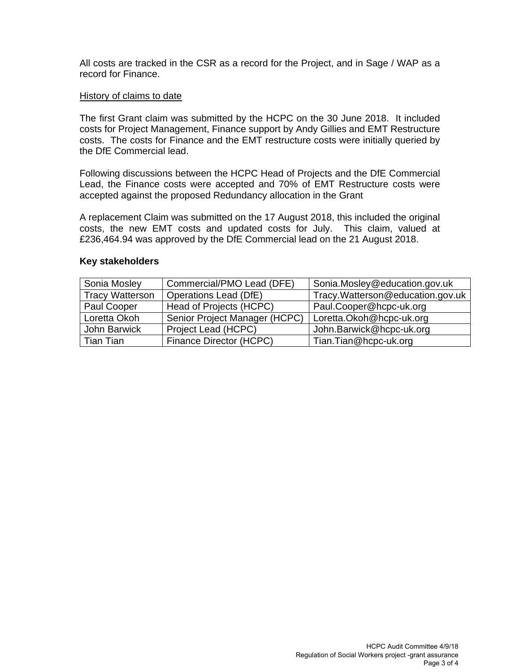All costs are tracked in the CSR as a record for the Project, and in Sage / WAP as a record for Finance.

### History of claims to date

The first Grant claim was submitted by the HCPC on the 30 June 2018. It included costs for Project Management, Finance support by Andy Gillies and EMT Restructure costs. The costs for Finance and the EMT restructure costs were initially queried by the DfE Commercial lead.

Following discussions between the HCPC Head of Projects and the DfE Commercial Lead, the Finance costs were accepted and 70% of EMT Restructure costs were accepted against the proposed Redundancy allocation in the Grant

A replacement Claim was submitted on the 17 August 2018, this included the original costs, the new EMT costs and updated costs for July. This claim, valued at £236,464.94 was approved by the DfE Commercial lead on the 21 August 2018.

### **Key stakeholders**

| Sonia Mosley           | Commercial/PMO Lead (DFE)     | Sonia.Mosley@education.gov.uk     |
|------------------------|-------------------------------|-----------------------------------|
| <b>Tracy Watterson</b> | Operations Lead (DfE)         | Tracy. Watterson@education.gov.uk |
| Paul Cooper            | Head of Projects (HCPC)       | Paul.Cooper@hcpc-uk.org           |
| Loretta Okoh           | Senior Project Manager (HCPC) | Loretta.Okoh@hcpc-uk.org          |
| John Barwick           | Project Lead (HCPC)           | John.Barwick@hcpc-uk.org          |
| Tian Tian              | Finance Director (HCPC)       | Tian.Tian@hcpc-uk.org             |